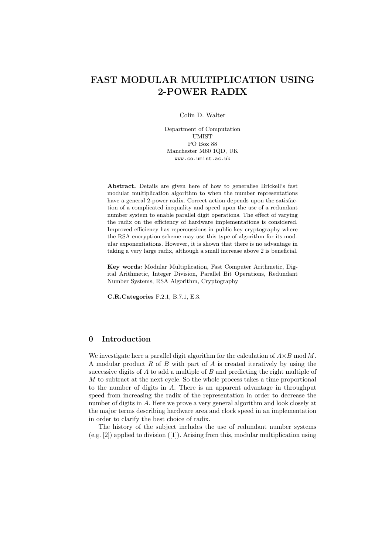# FAST MODULAR MULTIPLICATION USING 2-POWER RADIX

Colin D. Walter

Department of Computation UMIST PO Box 88 Manchester M60 1QD, UK www.co.umist.ac.uk

Abstract. Details are given here of how to generalise Brickell's fast modular multiplication algorithm to when the number representations have a general 2-power radix. Correct action depends upon the satisfaction of a complicated inequality and speed upon the use of a redundant number system to enable parallel digit operations. The effect of varying the radix on the efficiency of hardware implementations is considered. Improved efficiency has repercussions in public key cryptography where the RSA encryption scheme may use this type of algorithm for its modular exponentiations. However, it is shown that there is no advantage in taking a very large radix, although a small increase above 2 is beneficial.

Key words: Modular Multiplication, Fast Computer Arithmetic, Digital Arithmetic, Integer Division, Parallel Bit Operations, Redundant Number Systems, RSA Algorithm, Cryptography

C.R.Categories F.2.1, B.7.1, E.3.

# 0 Introduction

We investigate here a parallel digit algorithm for the calculation of  $A \times B$  mod M. A modular product R of B with part of A is created iteratively by using the successive digits of  $A$  to add a multiple of  $B$  and predicting the right multiple of M to subtract at the next cycle. So the whole process takes a time proportional to the number of digits in A. There is an apparent advantage in throughput speed from increasing the radix of the representation in order to decrease the number of digits in A. Here we prove a very general algorithm and look closely at the major terms describing hardware area and clock speed in an implementation in order to clarify the best choice of radix.

The history of the subject includes the use of redundant number systems (e.g. [2]) applied to division ([1]). Arising from this, modular multiplication using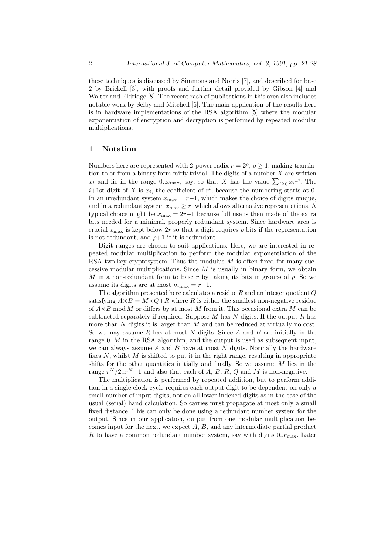these techniques is discussed by Simmons and Norris [7], and described for base 2 by Brickell [3], with proofs and further detail provided by Gibson [4] and Walter and Eldridge [8]. The recent rash of publications in this area also includes notable work by Selby and Mitchell [6]. The main application of the results here is in hardware implementations of the RSA algorithm [5] where the modular exponentiation of encryption and decryption is performed by repeated modular multiplications.

# 1 Notation

Numbers here are represented with 2-power radix  $r = 2^{\rho}, \rho \ge 1$ , making translation to or from a binary form fairly trivial. The digits of a number  $X$  are written  $x_i$  and lie in the range 0..x<sub>max</sub>, say, so that X has the value  $\sum_{i\geq 0} x_i r^i$ . The  $i+1$ st digit of X is  $x_i$ , the coefficient of  $r^i$ , because the numbering starts at 0. In an irredundant system  $x_{\text{max}} = r-1$ , which makes the choice of digits unique, and in a redundant system  $x_{\text{max}} \geq r$ , which allows alternative representations. A typical choice might be  $x_{\text{max}} = 2r-1$  because full use is then made of the extra bits needed for a minimal, properly redundant system. Since hardware area is crucial  $x_{\text{max}}$  is kept below 2r so that a digit requires  $\rho$  bits if the representation is not redundant, and  $\rho+1$  if it is redundant.

Digit ranges are chosen to suit applications. Here, we are interested in repeated modular multiplication to perform the modular exponentiation of the RSA two-key cryptosystem. Thus the modulus  $M$  is often fixed for many successive modular multiplications. Since  $M$  is usually in binary form, we obtain M in a non-redundant form to base r by taking its bits in groups of  $\rho$ . So we assume its digits are at most  $m_{\text{max}} = r-1$ .

The algorithm presented here calculates a residue  $R$  and an integer quotient  $Q$ satisfying  $A \times B = M \times Q + R$  where R is either the smallest non-negative residue of  $A \times B$  mod M or differs by at most M from it. This occasional extra M can be subtracted separately if required. Suppose  $M$  has  $N$  digits. If the output  $R$  has more than  $N$  digits it is larger than  $M$  and can be reduced at virtually no cost. So we may assume R has at most N digits. Since A and B are initially in the range 0..M in the RSA algorithm, and the output is used as subsequent input, we can always assume  $A$  and  $B$  have at most  $N$  digits. Normally the hardware fixes  $N$ , whilst  $M$  is shifted to put it in the right range, resulting in appropriate shifts for the other quantities initially and finally. So we assume  $M$  lies in the range  $r^N/2..r^N-1$  and also that each of A, B, R, Q and M is non-negative.

The multiplication is performed by repeated addition, but to perform addition in a single clock cycle requires each output digit to be dependent on only a small number of input digits, not on all lower-indexed digits as in the case of the usual (serial) hand calculation. So carries must propagate at most only a small fixed distance. This can only be done using a redundant number system for the output. Since in our application, output from one modular multiplication becomes input for the next, we expect  $A, B$ , and any intermediate partial product R to have a common redundant number system, say with digits  $0.r_{\text{max}}$ . Later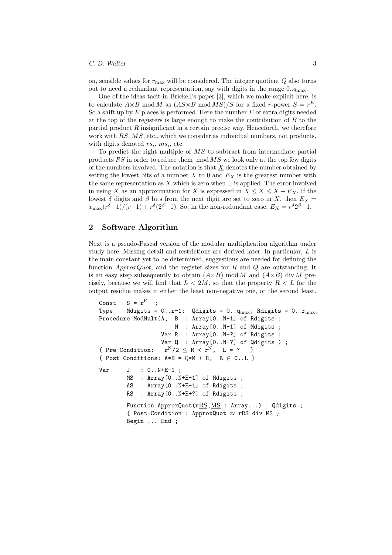#### C. D. Walter 3

on, sensible values for  $r_{\text{max}}$  will be considered. The integer quotient  $Q$  also turns out to need a redundant representation, say with digits in the range  $0.\overline{q_{\text{max}}}$ .

One of the ideas tacit in Brickell's paper [3], which we make explicit here, is to calculate  $A \times B \mod M$  as  $(AS \times B \mod MS)/S$  for a fixed r-power  $S = r^E$ . So a shift up by  $E$  places is performed. Here the number  $E$  of extra digits needed at the top of the registers is large enough to make the contribution of  $B$  to the partial product  $R$  insignificant in a certain precise way. Henceforth, we therefore work with RS, MS, etc., which we consider as individual numbers, not products, with digits denoted  $rs_i$ ,  $ms_i$ , etc.

To predict the right multiple of MS to subtract from intermediate partial products  $RS$  in order to reduce them  $mod MS$  we look only at the top few digits of the numbers involved. The notation is that  $\underline{X}$  denotes the number obtained by setting the lowest bits of a number  $X$  to 0 and  $E_X$  is the greatest number with the same representation as  $X$  which is zero when  $\overline{S}$  is applied. The error involved in using  $\underline{X}$  as an approximation for X is expressed in  $\underline{X} \le X \le \underline{X} + E_X$ . If the lowest  $\delta$  digits and  $\beta$  bits from the next digit are set to zero in X, then  $E_X =$  $x_{\text{max}}(r^{\delta}-1)/(r-1) + r^{\delta}(2^{\beta}-1)$ . So, in the non-redundant case,  $E_X = r^{\delta}2^{\beta}-1$ .

# 2 Software Algorithm

Next is a pseudo-Pascal version of the modular multiplication algorithm under study here. Missing detail and restrictions are derived later. In particular, L is the main constant yet to be determined, suggestions are needed for defining the function *ApproxQuot*, and the register sizes for R and Q are outstanding. It is an easy step subsequently to obtain  $(A\times B)$  mod M and  $(A\times B)$  div M precisely, because we will find that  $L < 2M$ , so that the property  $R < L$  for the output residue makes it either the least non-negative one, or the second least.

```
Const S = r^{E}Type Mdigits = 0..r-1; Qdigits = 0..q_{max}; Rdigits = 0..r_{max};
Procedure ModMult(A, B : Array[0..N-1] of Rdigits ;
                      M : Array[0..N-1] of Mdigits ;
                  Var R : Array<sup>[0..N+?]</sup> of Rdigits ;
                  Var Q : Array [0..N+?] of Qdigits ) ;
{ Pre-Condition: r^N/2 \leq M < r^N, L = ? }
{ Post-Conditions: A*B = Q*M + R, R \in 0.L }
Var J : 0..N+E-1 ;
        MS : Array[0..N+E-1] of Mdigits ;
        AS : Array[0..N+E-1] of Rdigits ;
        RS : Array[0..N+E+?] of Rdigits ;
        Function ApproxQuot(rRS, MS : Array...) : Qdigits ;
        { Post-Condition : ApproxQuot \approx rRS div MS }
        Begin ... End ;
```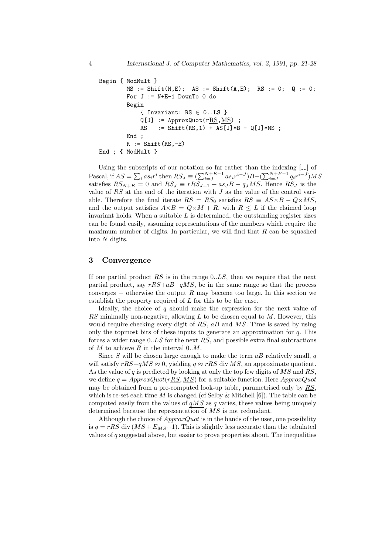```
Begin { ModMult }
        MS := Shift(M, E); AS := Shift(A, E); RS := 0; Q := 0;For J := N+E-1 DownTo 0 do
        Begin
            { Invariant: RS \in 0...LS }
            Q[J] := ApproxQuot(rRS, MS) ;
            RS := Shift(RS,1) + AS[J]*B - Q[J]*MS;
        End ;
        R := Shift(RS, -E)End ; { ModMult }
```
Using the subscripts of our notation so far rather than the indexing  $\left[-\right]$  of Pascal, if  $AS = \sum_i as_ir^i$  then  $RS_J \equiv (\sum_{i=J}^{N+E-1} as_ir^{i-J})B - (\sum_{i=J}^{N+E-1} q_ir^{i-J})MS$ satisfies  $RS_{N+E} = 0$  and  $RS_J \equiv rRS_{J+1} + as_JB - q_JMS$ . Hence  $RS_J$  is the value of  $RS$  at the end of the iteration with  $J$  as the value of the control variable. Therefore the final iterate  $RS = RS_0$  satisfies  $RS = AS \times B - Q \times MS$ , and the output satisfies  $A \times B = Q \times M + R$ , with  $R \leq L$  if the claimed loop invariant holds. When a suitable  $L$  is determined, the outstanding register sizes can be found easily, assuming representations of the numbers which require the maximum number of digits. In particular, we will find that  $R$  can be squashed into N digits.

#### 3 Convergence

If one partial product  $RS$  is in the range  $0.LS$ , then we require that the next partial product, say  $rRS+aB-qMS$ , be in the same range so that the process converges  $-$  otherwise the output R may become too large. In this section we establish the property required of L for this to be the case.

Ideally, the choice of  $q$  should make the expression for the next value of  $RS$  minimally non-negative, allowing  $L$  to be chosen equal to  $M$ . However, this would require checking every digit of  $RS$ ,  $aB$  and  $MS$ . Time is saved by using only the topmost bits of these inputs to generate an approximation for  $q$ . This forces a wider range  $0.LS$  for the next RS, and possible extra final subtractions of  $M$  to achieve  $R$  in the interval  $0..M$ .

Since S will be chosen large enough to make the term  $aB$  relatively small, q will satisfy  $rRS-qMS \approx 0$ , yielding  $q \approx rRS$  div MS, an approximate quotient. As the value of  $q$  is predicted by looking at only the top few digits of  $MS$  and  $RS$ , we define  $q = ApproxQuot(rRS, MS)$  for a suitable function. Here  $ApproxQuot$ may be obtained from a pre-computed look-up table, parametrised only by RS, which is re-set each time M is changed (cf Selby & Mitchell  $[6]$ ). The table can be computed easily from the values of  $qMS$  as q varies, these values being uniquely determined because the representation of MS is not redundant.

Although the choice of  $ApproxQuot$  is in the hands of the user, one possibility is  $q = rRS$  div  $(MS + E_{MS}+1)$ . This is slightly less accurate than the tabulated values of  $q$  suggested above, but easier to prove properties about. The inequalities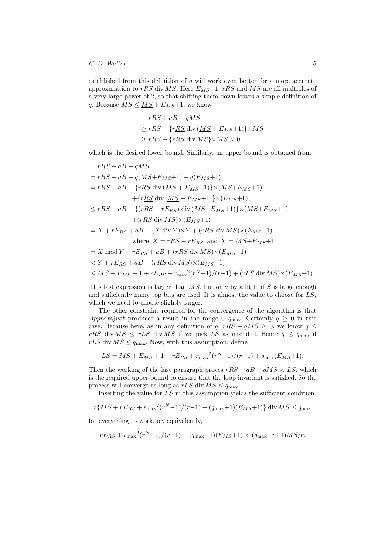established from this definition of  $q$  will work even better for a more accurate approximation to  $rRS$  div MS. Here  $E_{MS}+1$ ,  $rRS$  and MS are all multiples of a very large power of 2, so that shifting them down leaves a simple definition of q. Because  $MS \leq MS + E_{MS} + 1$ , we know

$$
rRS + aB - qMS
$$
  
\n
$$
\geq rRS - \{r\underline{RS} \operatorname{div} (\underline{MS} + E_{MS} + 1)\} \times MS
$$
  
\n
$$
\geq rRS - \{rRS \operatorname{div} MS\} \times MS > 0
$$

which is the desired lower bound. Similarly, an upper bound is obtained from

$$
rRS + aB - qMS
$$
  
=  $rRS + aB - q(MS + E_{MS} + 1) + q(E_{MS} + 1)$   
=  $rRS + aB - \{r\underline{RS} \operatorname{div} (\underline{MS} + E_{MS} + 1)\} \times (MS + E_{MS} + 1)$   
+  $\{r\underline{RS} \operatorname{div} (\underline{MS} + E_{MS} + 1)\} \times (E_{MS} + 1)$   
 $\leq rRS + aB - \{(rRS - rE_{RS}) \operatorname{div} (MS + E_{MS} + 1)\} \times (MS + E_{MS} + 1)$   
+  $(rRS \operatorname{div} MS) \times (E_{MS} + 1)$   
=  $X + rE_{RS} + aB - (X \operatorname{div} Y) \times Y + (rRS \operatorname{div} MS) \times (E_{MS} + 1)$   
where  $X = rRS - rE_{RS}$  and  $Y = MS + E_{MS} + 1$   
=  $X \operatorname{mod} Y + rE_{RS} + aB + (rRS \operatorname{div} MS) \times (E_{MS} + 1)$   
 $\leq Y + rE_{RS} + aB + (rRS \operatorname{div} MS) \times (E_{MS} + 1)$   
 $\leq MS + E_{MS} + 1 + rE_{RS} + r_{\max}^2(r^N - 1)/(r - 1) + (rLS \operatorname{div} MS) \times (E_{MS} + 1).$ 

This last expression is larger than  $MS$ , but only by a little if S is large enough and sufficiently many top bits are used. It is almost the value to choose for LS, which we need to choose slightly larger.

The other constraint required for the convergence of the algorithm is that ApproxQuot produces a result in the range 0.. $q_{\text{max}}$ . Certainly  $q \ge 0$  in this case. Because here, as in any definition of q,  $rRS - qMS \ge 0$ , we know  $q \le$ rRS div  $MS \leq rLS$  div MS if we pick LS as intended. Hence  $q \leq q_{\text{max}}$  if  $rLS$  div  $MS \leq q_{\text{max}}$ . Now, with this assumption, define

$$
LS = MS + E_{MS} + 1 + rE_{RS} + r_{\text{max}}^2(r^N - 1)/(r - 1) + q_{\text{max}}(E_{MS} + 1).
$$

Then the working of the last paragraph proves  $rRS + aB - qMS < LS$ , which is the required upper bound to ensure that the loop invariant is satisfied. So the process will converge as long as  $rLS$  div  $MS \leq q_{\text{max}}$ .

Inserting the value for LS in this assumption yields the sufficient condition

$$
r\{MS + rE_{RS} + r_{\text{max}}^2(r^N - 1)/(r - 1) + (q_{\text{max}} + 1)(E_{MS} + 1)\} \text{ div } MS \le q_{\text{max}}
$$

for everything to work, or, equivalently,

$$
rE_{RS} + r_{\text{max}}^2(r^N - 1)/(r - 1) + (q_{\text{max}} + 1)(E_{MS} + 1) < (q_{\text{max}} - r + 1)MS/r.
$$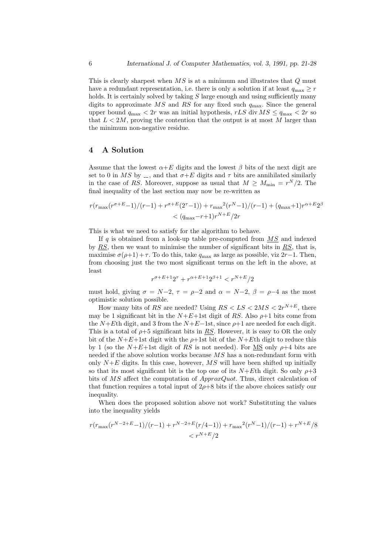This is clearly sharpest when  $\overline{MS}$  is at a minimum and illustrates that  $Q$  must have a redundant representation, i.e. there is only a solution if at least  $q_{\text{max}} \geq r$ holds. It is certainly solved by taking  $S$  large enough and using sufficiently many digits to approximate  $MS$  and RS for any fixed such  $q_{\text{max}}$ . Since the general upper bound  $q_{\text{max}} < 2r$  was an initial hypothesis,  $rLS$  div  $MS \leq q_{\text{max}} < 2r$  so that  $L < 2M$ , proving the contention that the output is at most M larger than the minimum non-negative residue.

## 4 A Solution

Assume that the lowest  $\alpha+E$  digits and the lowest  $\beta$  bits of the next digit are set to 0 in MS by  $\ldots$ , and that  $\sigma + E$  digits and  $\tau$  bits are annihilated similarly in the case of RS. Moreover, suppose as usual that  $M \geq M_{\text{min}} = r^N/2$ . The final inequality of the last section may now be re-written as

$$
r(r_{\max}(r^{\sigma+E}-1)/(r-1) + r^{\sigma+E}(2^{\tau}-1)) + r_{\max}^{2}(r^{N}-1)/(r-1) + (q_{\max}+1)r^{\alpha+E}2^{\beta}
$$
  
< 
$$
< (q_{\max}-r+1)r^{N+E}/2r
$$

This is what we need to satisfy for the algorithm to behave.

If  $q$  is obtained from a look-up table pre-computed from  $MS$  and indexed by  $RS$ , then we want to minimise the number of significant bits in  $RS$ , that is, maximise  $\sigma(\rho+1) + \tau$ . To do this, take  $q_{\text{max}}$  as large as possible, viz 2r−1. Then, from choosing just the two most significant terms on the left in the above, at least

$$
r^{\sigma + E + 1} 2^{\tau} + r^{\alpha + E + 1} 2^{\beta + 1} < r^{N + E}/2
$$

must hold, giving  $\sigma = N-2$ ,  $\tau = \rho-2$  and  $\alpha = N-2$ ,  $\beta = \rho-4$  as the most optimistic solution possible.

How many bits of RS are needed? Using  $RS < LS < 2MS < 2r^{N+E}$ , there may be 1 significant bit in the  $N+E+1$ st digit of RS. Also  $\rho+1$  bits come from the N+Eth digit, and 3 from the N+E−1st, since  $\rho+1$  are needed for each digit. This is a total of  $\rho$ +5 significant bits in RS. However, it is easy to OR the only bit of the  $N+E+1$ st digit with the  $\rho+1$ st bit of the  $N+E$ th digit to reduce this by 1 (so the  $N+E+1$ st digit of RS is not needed). For <u>MS</u> only  $\rho+4$  bits are needed if the above solution works because  $MS$  has a non-redundant form with only  $N+E$  digits. In this case, however,  $MS$  will have been shifted up initially so that its most significant bit is the top one of its  $N+E$ th digit. So only  $\rho+3$ bits of MS affect the computation of  $ApproxQuot$ . Thus, direct calculation of that function requires a total input of  $2\rho+8$  bits if the above choices satisfy our inequality.

When does the proposed solution above not work? Substituting the values into the inequality yields

$$
\frac{r(r_{\max}(r^{N-2+E}-1)/(r-1)+r^{N-2+E}(r/4-1)) + r_{\max}^2(r^N-1)/(r-1)+r^{N+E}/8}{\left\langle r^{N+E}/2 \right\rangle}
$$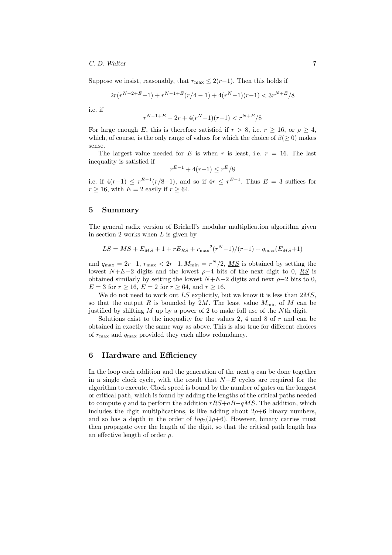#### C. D. Walter 7

Suppose we insist, reasonably, that  $r_{\text{max}} \leq 2(r-1)$ . Then this holds if

$$
2r(r^{N-2+E}-1) + r^{N-1+E}(r/4-1) + 4(r^N-1)(r-1) < 3r^{N+E}/8
$$

i.e. if

$$
r^{N-1+E}-2r+4(r^N\!-\!1)(r\!-\!1)
$$

For large enough E, this is therefore satisfied if  $r > 8$ , i.e.  $r \ge 16$ , or  $\rho \ge 4$ , which, of course, is the only range of values for which the choice of  $\beta(\geq 0)$  makes sense.

The largest value needed for E is when r is least, i.e.  $r = 16$ . The last inequality is satisfied if

$$
F^{-1} + 4(r - 1) \le r^E / 8
$$

r

i.e. if  $4(r-1) \leq r^{E-1}(r/8-1)$ , and so if  $4r \leq r^{E-1}$ . Thus  $E = 3$  suffices for  $r \ge 16$ , with  $E = 2$  easily if  $r \ge 64$ .

#### 5 Summary

The general radix version of Brickell's modular multiplication algorithm given in section 2 works when  $L$  is given by

$$
LS = MS + E_{MS} + 1 + rE_{RS} + r_{\text{max}}^2(r^N - 1)/(r - 1) + q_{\text{max}}(E_{MS} + 1)
$$

and  $q_{\text{max}} = 2r - 1$ ,  $r_{\text{max}} < 2r - 1$ ,  $M_{\text{min}} = r^N/2$ ,  $\overline{MS}$  is obtained by setting the lowest  $N+E-2$  digits and the lowest  $\rho-4$  bits of the next digit to 0, RS is obtained similarly by setting the lowest  $N+E-2$  digits and next  $\rho-2$  bits to 0,  $E = 3$  for  $r > 16$ ,  $E = 2$  for  $r > 64$ , and  $r > 16$ .

We do not need to work out  $LS$  explicitly, but we know it is less than  $2MS$ , so that the output R is bounded by 2M. The least value  $M_{\text{min}}$  of M can be justified by shifting  $M$  up by a power of 2 to make full use of the  $N<sup>th</sup>$  digit.

Solutions exist to the inequality for the values 2, 4 and 8 of  $r$  and can be obtained in exactly the same way as above. This is also true for different choices of  $r_{\text{max}}$  and  $q_{\text{max}}$  provided they each allow redundancy.

# 6 Hardware and Efficiency

In the loop each addition and the generation of the next  $q$  can be done together in a single clock cycle, with the result that  $N+E$  cycles are required for the algorithm to execute. Clock speed is bound by the number of gates on the longest or critical path, which is found by adding the lengths of the critical paths needed to compute q and to perform the addition  $rRS+aB-qMS$ . The addition, which includes the digit multiplications, is like adding about  $2\rho+6$  binary numbers, and so has a depth in the order of  $log_2(2\rho+6)$ . However, binary carries must then propagate over the length of the digit, so that the critical path length has an effective length of order  $\rho$ .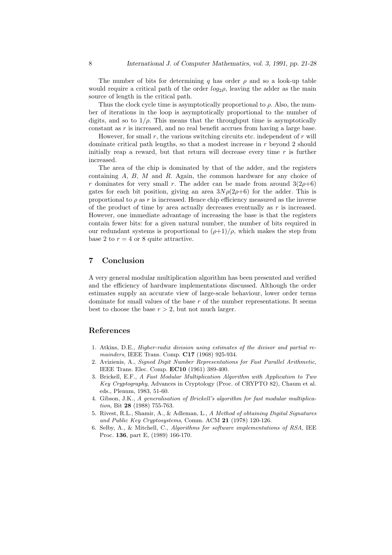The number of bits for determining q has order  $\rho$  and so a look-up table would require a critical path of the order  $log_2 \rho$ , leaving the adder as the main source of length in the critical path.

Thus the clock cycle time is asymptotically proportional to  $\rho$ . Also, the number of iterations in the loop is asymptotically proportional to the number of digits, and so to  $1/\rho$ . This means that the throughput time is asymptotically constant as  $r$  is increased, and no real benefit accrues from having a large base.

However, for small r, the various switching circuits etc. independent of  $r$  will dominate critical path lengths, so that a modest increase in r beyond 2 should initially reap a reward, but that return will decrease every time  $r$  is further increased.

The area of the chip is dominated by that of the adder, and the registers containing  $A, B, M$  and  $R$ . Again, the common hardware for any choice of r dominates for very small r. The adder can be made from around  $3(2\rho+6)$ gates for each bit position, giving an area  $3N\rho(2\rho+6)$  for the adder. This is proportional to  $\rho$  as r is increased. Hence chip efficiency measured as the inverse of the product of time by area actually decreases eventually as  $r$  is increased. However, one immediate advantage of increasing the base is that the registers contain fewer bits: for a given natural number, the number of bits required in our redundant systems is proportional to  $(\rho+1)/\rho$ , which makes the step from base 2 to  $r = 4$  or 8 quite attractive.

# 7 Conclusion

A very general modular multiplication algorithm has been presented and verified and the efficiency of hardware implementations discussed. Although the order estimates supply an accurate view of large-scale behaviour, lower order terms dominate for small values of the base  $r$  of the number representations. It seems best to choose the base  $r > 2$ , but not much larger.

#### References

- 1. Atkins, D.E., Higher-radix division using estimates of the divisor and partial remainders, IEEE Trans. Comp. C17 (1968) 925-934.
- 2. Avizienis, A., Signed Digit Number Representations for Fast Parallel Arithmetic, IEEE Trans. Elec. Comp. EC10 (1961) 389-400.
- 3. Brickell, E.F., A Fast Modular Multiplication Algorithm with Application to Two Key Cryptography, Advances in Cryptology (Proc. of CRYPTO 82), Chaum et al. eds., Plenum, 1983, 51-60.
- 4. Gibson, J.K., A generalisation of Brickell's algorithm for fast modular multiplication, Bit 28 (1988) 755-763.
- 5. Rivest, R.L., Shamir, A., & Adleman, L., A Method of obtaining Digital Signatures and Public Key Cryptosystems, Comm. ACM 21 (1978) 120-126.
- 6. Selby, A., & Mitchell, C., Algorithms for software implementations of RSA, IEE Proc. 136, part E, (1989) 166-170.